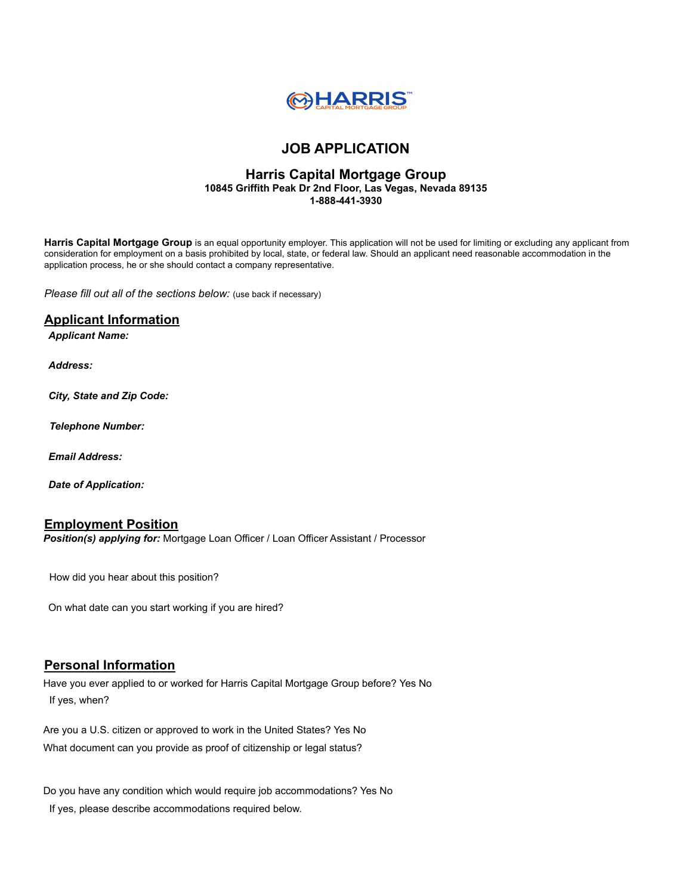

## **JOB APPLICATION**

## **Harris Capital Mortgage Group 10845 Griffith Peak Dr 2nd Floor, Las Vegas, Nevada 89135 1-888-441-3930**

**Harris Capital Mortgage Group** is an equal opportunity employer. This application will not be used for limiting or excluding any applicant from consideration for employment on a basis prohibited by local, state, or federal law. Should an applicant need reasonable accommodation in the application process, he or she should contact a company representative.

*Please fill out all of the sections below:* (use back if necessary)

## **Applicant Information**

*Applicant Name:*

*Address:*

*City, State and Zip Code:*

*Telephone Number:*

*Email Address:*

*Date of Application:*

## **Employment Position**

*Position(s) applying for:* Mortgage Loan Officer / Loan Officer Assistant / Processor

How did you hear about this position?

On what date can you start working if you are hired?

## **Personal Information**

Have you ever applied to or worked for Harris Capital Mortgage Group before? Yes No If yes, when?

Are you a U.S. citizen or approved to work in the United States? Yes No What document can you provide as proof of citizenship or legal status?

Do you have any condition which would require job accommodations? Yes No

If yes, please describe accommodations required below.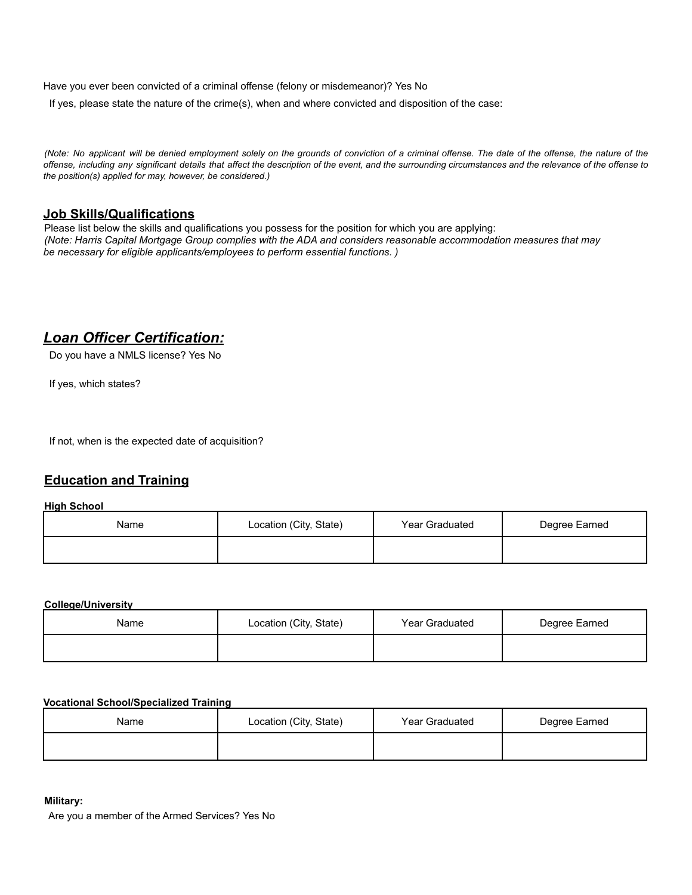Have you ever been convicted of a criminal offense (felony or misdemeanor)? Yes No

If yes, please state the nature of the crime(s), when and where convicted and disposition of the case:

(Note: No applicant will be denied employment solely on the grounds of conviction of a criminal offense. The date of the offense, the nature of the offense, including any significant details that affect the description of the event, and the surrounding circumstances and the relevance of the offense to *the position(s) applied for may, however, be considered.)*

## **Job Skills/Qualifications**

Please list below the skills and qualifications you possess for the position for which you are applying: (Note: Harris Capital Mortgage Group complies with the ADA and considers reasonable accommodation measures that may *be necessary for eligible applicants/employees to perform essential functions. )*

# *Loan Officer Certification:*

Do you have a NMLS license? Yes No

If yes, which states?

If not, when is the expected date of acquisition?

## **Education and Training**

#### **High School**

| Name | Location (City, State) | Year Graduated | Degree Earned |
|------|------------------------|----------------|---------------|
|      |                        |                |               |

#### **College/University**

| Name | Location (City, State) | Year Graduated | Degree Earned |
|------|------------------------|----------------|---------------|
|      |                        |                |               |

## **Vocational School/Specialized Training**

| Name | Location (City, State) | Year Graduated | Degree Earned |
|------|------------------------|----------------|---------------|
|      |                        |                |               |

#### **Military:**

Are you a member of the Armed Services? Yes No